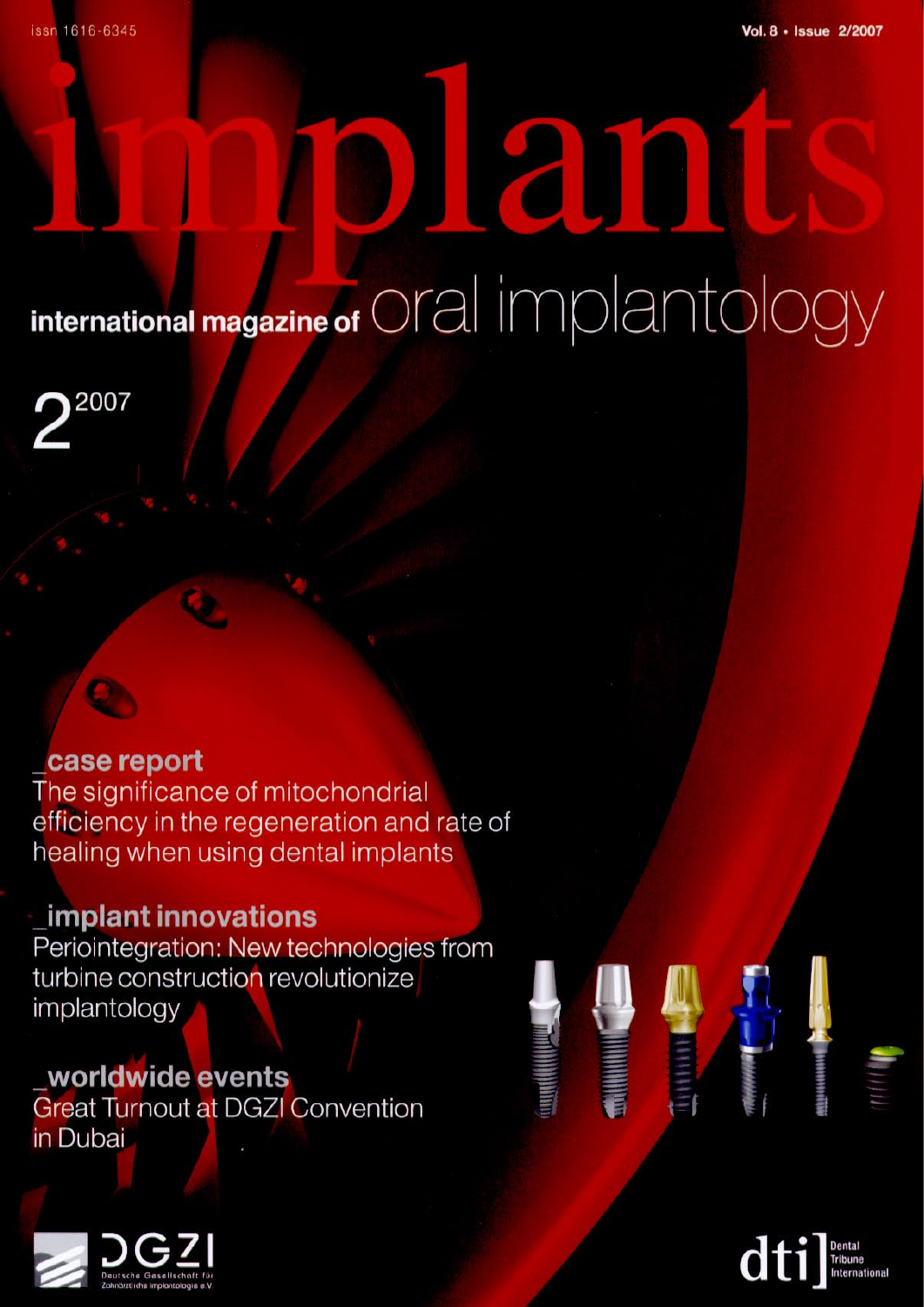# **PODE** international magazine of Oral implantology

2007

#### case report

The significance of mitochondrial efficiency in the regeneration and rate of healing when using dental implants

## **Implant innovations**

Periointegration: New technologies from turbine construction revolutionize implantology

### worldwide events **Great Turnout at DGZI Convention** in Dubai





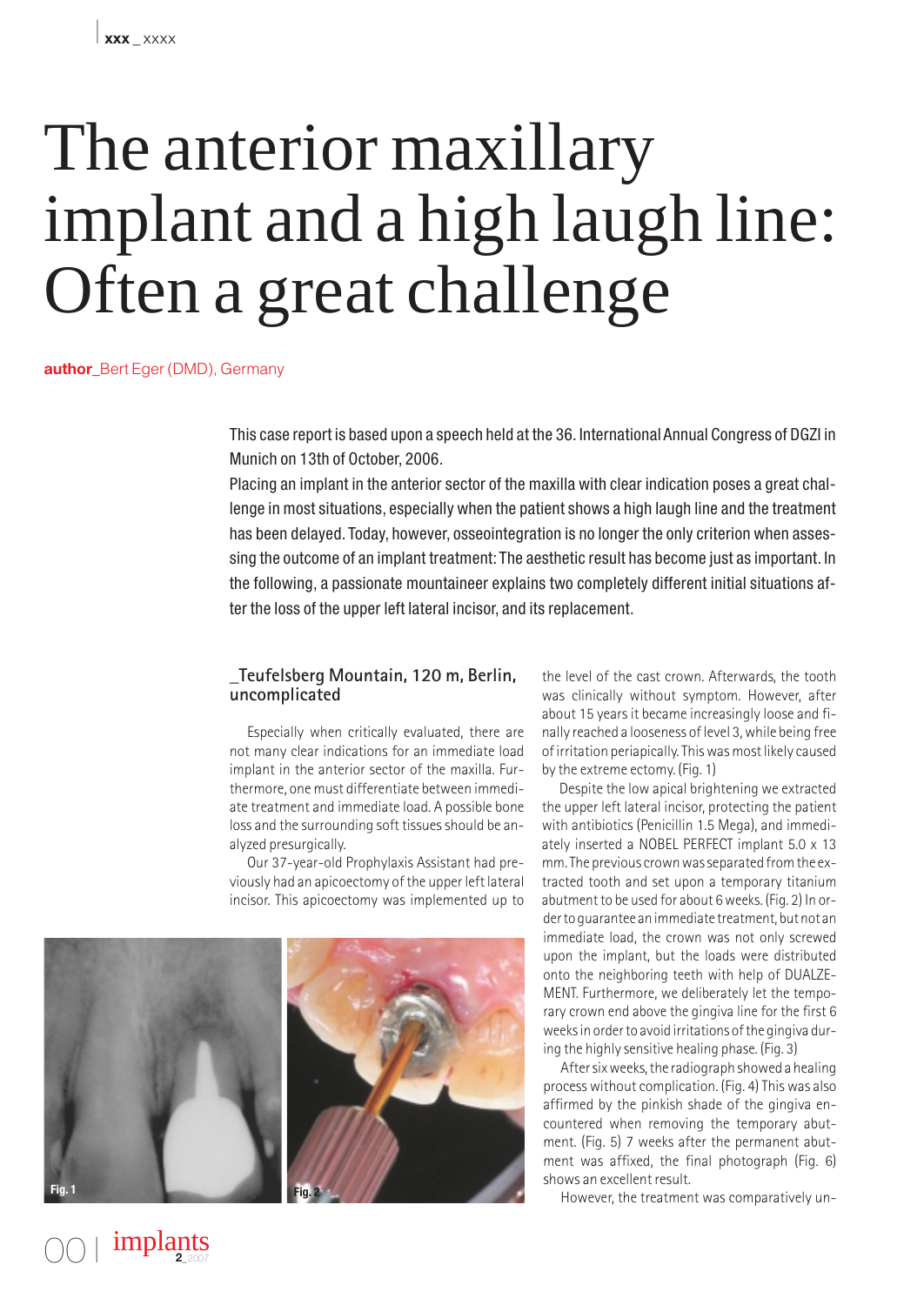# The anterior maxillary implant and a high laugh line: Often a great challenge

**author** Bert Eger (DMD), Germany

This case report is based upon a speech held at the 36. International Annual Congress of DGZI in Munich on 13th of October, 2006.

Placing an implant in the anterior sector of the maxilla with clear indication poses a great challenge in most situations, especially when the patient shows a high laugh line and the treatment has been delayed. Today, however, osseointegration is no longer the only criterion when assessing the outcome of an implant treatment: The aesthetic result has become just as important. In the following, a passionate mountaineer explains two completely different initial situations after the loss of the upper left lateral incisor, and its replacement.

#### **\_Teufelsberg Mountain, 120 m, Berlin, uncomplicated**

Especially when critically evaluated, there are not many clear indications for an immediate load implant in the anterior sector of the maxilla. Furthermore, one must differentiate between immediate treatment and immediate load. A possible bone loss and the surrounding soft tissues should be analyzed presurgically.

Our 37-year-old Prophylaxis Assistant had previously had an apicoectomy of the upper left lateral incisor. This apicoectomy was implemented up to



00 I

implants **<sup>2</sup>**\_2007

the level of the cast crown. Afterwards, the tooth was clinically without symptom. However, after about 15 years it became increasingly loose and finally reached a looseness of level 3, while being free of irritation periapically. This was most likely caused by the extreme ectomy. (Fig. 1)

Despite the low apical brightening we extracted the upper left lateral incisor, protecting the patient with antibiotics (Penicillin 1.5 Mega), and immediately inserted a NOBEL PERFECT implant 5.0 x 13 mm. The previous crown was separated from the extracted tooth and set upon a temporary titanium abutment to be used for about 6 weeks. (Fig. 2) In order to guarantee an immediate treatment, but not an immediate load, the crown was not only screwed upon the implant, but the loads were distributed onto the neighboring teeth with help of DUALZE-MENT. Furthermore, we deliberately let the temporary crown end above the gingiva line for the first 6 weeks in order to avoid irritations of the gingiva during the highly sensitive healing phase. (Fig. 3)

After six weeks, the radiograph showed a healing process without complication. (Fig. 4) This was also affirmed by the pinkish shade of the gingiva encountered when removing the temporary abutment. (Fig. 5) 7 weeks after the permanent abutment was affixed, the final photograph (Fig. 6) shows an excellent result.

However, the treatment was comparatively un-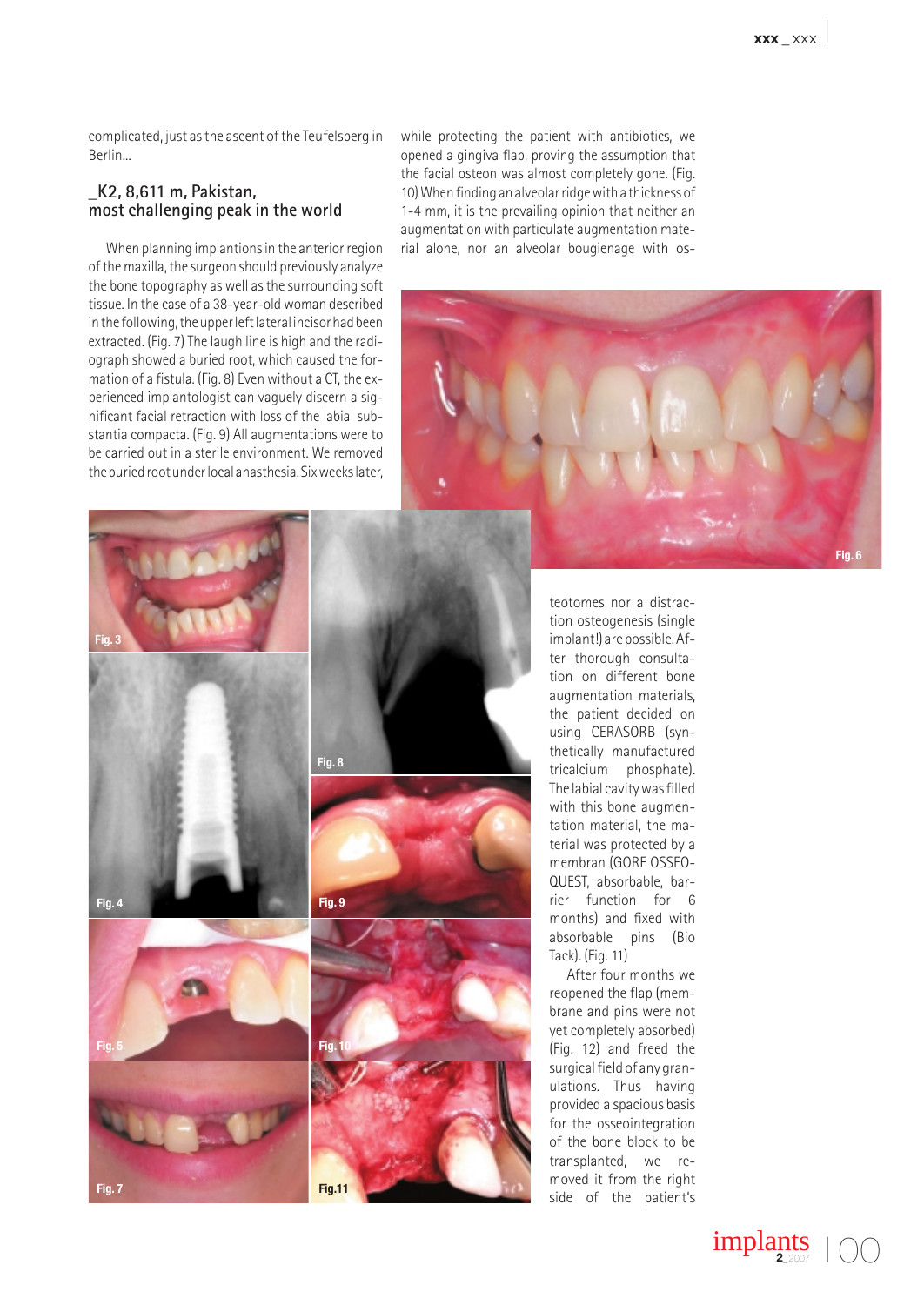complicated, just as the ascent of the Teufelsberg in Berlin...

#### **\_K2, 8,611 m, Pakistan, most challenging peak in the world**

When planning implantions in the anterior region of the maxilla, the surgeon should previously analyze the bone topography as well as the surrounding soft tissue. In the case of a 38-year-old woman described in the following, the upper left lateral incisor had been extracted. (Fig. 7) The laugh line is high and the radiograph showed a buried root, which caused the formation of a fistula. (Fig. 8) Even without a CT, the experienced implantologist can vaguely discern a significant facial retraction with loss of the labial substantia compacta. (Fig. 9) All augmentations were to be carried out in a sterile environment. We removed the buried root under local anasthesia. Six weeks later, while protecting the patient with antibiotics, we opened a gingiva flap, proving the assumption that the facial osteon was almost completely gone. (Fig. 10) When finding an alveolar ridge with a thickness of 1-4 mm, it is the prevailing opinion that neither an augmentation with particulate augmentation material alone, nor an alveolar bougienage with os-





teotomes nor a distraction osteogenesis (single implant!) are possible. After thorough consultation on different bone augmentation materials, the patient decided on using CERASORB (synthetically manufactured tricalcium phosphate). The labial cavity was filled with this bone augmentation material, the material was protected by a membran (GORE OSSEO-QUEST, absorbable, barrier function for 6 months) and fixed with absorbable pins (Bio Tack). (Fig. 11)

After four months we reopened the flap (membrane and pins were not yet completely absorbed) (Fig. 12) and freed the surgical field of any granulations. Thus having provided a spacious basis for the osseointegration of the bone block to be transplanted, we removed it from the right side of the patient's

**implants**  $\bigcirc$